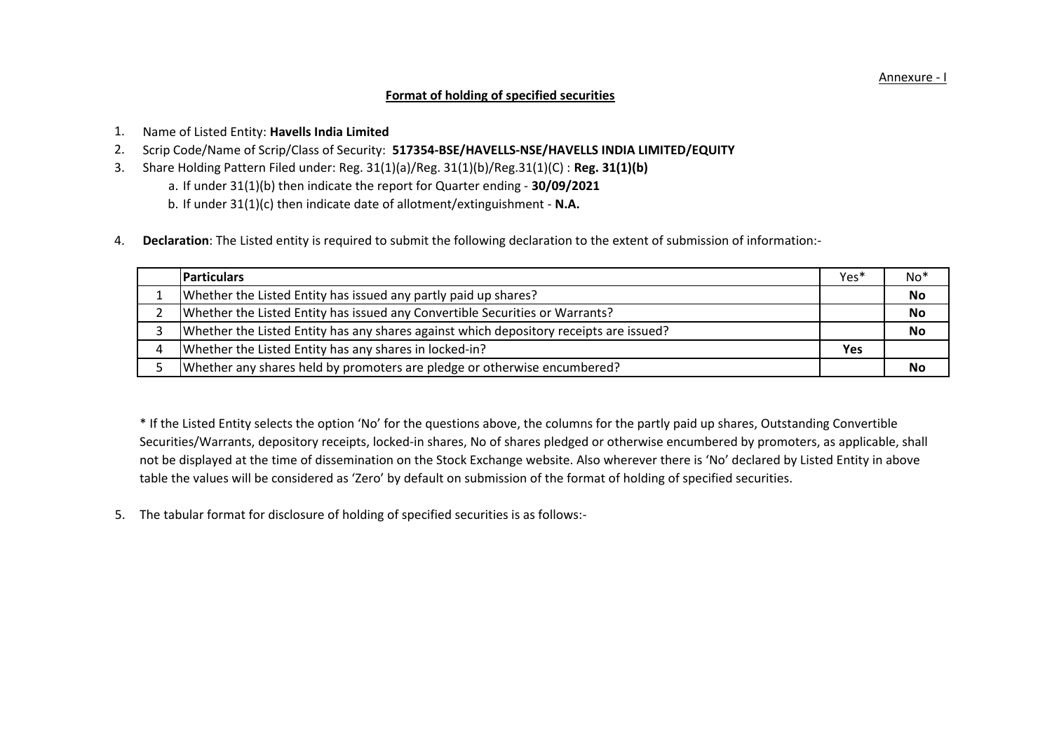# **Format of holding of specified securities**

- 1. Name of Listed Entity: **Havells India Limited**
- 2. Scrip Code/Name of Scrip/Class of Security: **517354-BSE/HAVELLS-NSE/HAVELLS INDIA LIMITED/EQUITY**
- 3. Share Holding Pattern Filed under: Reg. 31(1)(a)/Reg. 31(1)(b)/Reg.31(1)(C) : **Reg. 31(1)(b)** 
	- a. If under 31(1)(b) then indicate the report for Quarter ending **30/09/2021**
	- b. If under 31(1)(c) then indicate date of allotment/extinguishment **N.A.**
- 4.  **Declaration**: The Listed entity is required to submit the following declaration to the extent of submission of information:-

| <b>IParticulars</b>                                                                    | Yes* | $No*$     |
|----------------------------------------------------------------------------------------|------|-----------|
| Whether the Listed Entity has issued any partly paid up shares?                        |      | No        |
| Whether the Listed Entity has issued any Convertible Securities or Warrants?           |      | <b>No</b> |
| Whether the Listed Entity has any shares against which depository receipts are issued? |      | <b>No</b> |
| Whether the Listed Entity has any shares in locked-in?                                 | Yes  |           |
| Whether any shares held by promoters are pledge or otherwise encumbered?               |      | No        |

\* If the Listed Entity selects the option 'No' for the questions above, the columns for the partly paid up shares, Outstanding Convertible Securities/Warrants, depository receipts, locked-in shares, No of shares pledged or otherwise encumbered by promoters, as applicable, shall not be displayed at the time of dissemination on the Stock Exchange website. Also wherever there is 'No' declared by Listed Entity in above table the values will be considered as 'Zero' by default on submission of the format of holding of specified securities.

5. The tabular format for disclosure of holding of specified securities is as follows:-

Annexure - I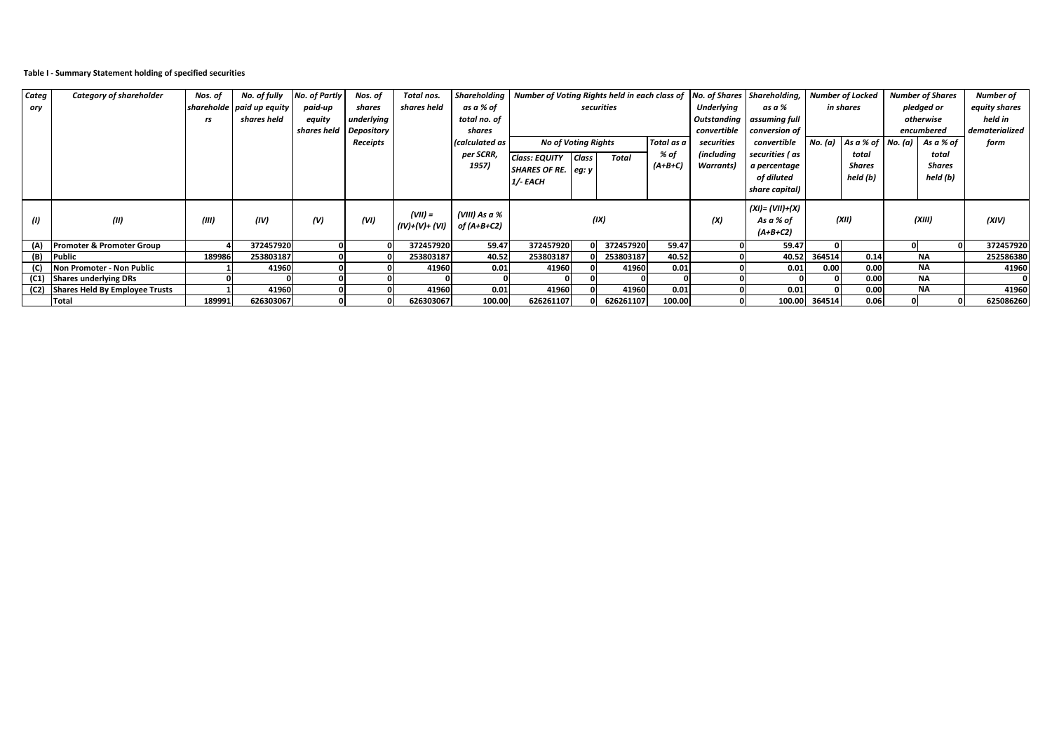### **Table I - Summary Statement holding of specified securities**

| Categ | Category of shareholder              | Nos. of | No. of fully                | No. of Partly          | Nos. of         | Total nos.                  | <b>Shareholding</b>          | Number of Voting Rights held in each class of No. of Shares Shareholding, |              |            |            |                   |                 |        | <b>Number of Locked</b>     |         | <b>Number of Shares</b> | <b>Number of</b> |
|-------|--------------------------------------|---------|-----------------------------|------------------------|-----------------|-----------------------------|------------------------------|---------------------------------------------------------------------------|--------------|------------|------------|-------------------|-----------------|--------|-----------------------------|---------|-------------------------|------------------|
| ory   |                                      |         | shareholde   paid up equity | paid-up                | shares          | shares held                 | as a % of                    |                                                                           |              | securities |            | <b>Underlying</b> | as a %          |        | in shares                   |         | pledged or              | equity shares    |
|       |                                      | rs      | shares held                 | equity                 | underlying      |                             | total no. of                 | Outstanding<br>assuming full                                              |              |            |            |                   |                 |        | otherwise                   | held in |                         |                  |
|       |                                      |         |                             | shares held Depository |                 |                             | shares                       |                                                                           |              |            |            | convertible       | conversion of   |        |                             |         | encumbered              | dematerialized   |
|       |                                      |         |                             |                        | <b>Receipts</b> |                             | <i>calculated as</i>         | <b>No of Voting Rights</b>                                                |              |            | Total as a | securities        | convertible     |        | No. (a) $As a % of No. (a)$ |         | As a % of               | form             |
|       |                                      |         |                             |                        |                 |                             | per SCRR,                    | <b>Class: EQUITY</b>                                                      | <b>Class</b> | Total      | % of       | (including        | securities ( as |        | total                       |         | total                   |                  |
|       |                                      |         |                             |                        |                 |                             | 1957)                        | SHARES OF RE. $ eq:$ y                                                    |              |            | $(A+B+C)$  | <b>Warrants</b> ) | a percentage    |        | Shares                      |         | Shares                  |                  |
|       |                                      |         |                             |                        |                 |                             |                              | 1/- EACH                                                                  |              |            |            |                   | of diluted      |        | held (b)                    |         | held (b)                |                  |
|       |                                      |         |                             |                        |                 |                             |                              |                                                                           |              |            |            |                   | share capital)  |        |                             |         |                         |                  |
| (I)   | (II)                                 | (III)   | (IV)                        | (V)                    | (VI)            | $(VII) =$<br>(IV)+(V)+ (VI) | (VIII) As a %<br>of (A+B+C2) | $(XI) = (VII) + (X)$<br>(IX)<br>(XII)<br>(X)<br>As a % of<br>$(A+B+C2)$   |              |            |            | (XIII)            | (XIV)           |        |                             |         |                         |                  |
| (A)   | <b>Promoter &amp; Promoter Group</b> |         | 372457920                   |                        |                 | 372457920                   | 59.47                        | 372457920                                                                 |              | 372457920  | 59.47      |                   | 59.47           |        |                             | 0       |                         | 372457920        |
| (B)   | <b>Public</b>                        | 189986  | 253803187                   |                        |                 | 253803187                   | 40.52                        | 253803187                                                                 |              | 253803187  | 40.52      |                   | 40.52           | 364514 | 0.14                        |         | <b>NA</b>               | 252586380        |
|       | Non Promoter - Non Public            |         | 41960                       |                        |                 | 41960                       | 0.01                         | 41960                                                                     |              | 41960      | 0.01       |                   | 0.01            | 0.00   | 0.00                        |         | <b>NA</b>               | 41960            |
|       | (C1) Shares underlying DRs           |         |                             |                        |                 |                             |                              |                                                                           |              |            |            |                   |                 |        | 0.00                        |         | NA                      |                  |
|       | (C2) Shares Held By Employee Trusts  |         | 41960                       |                        |                 | 41960                       | 0.01                         | 41960                                                                     |              | 41960      | 0.01       |                   | 0.01            |        | 0.00                        |         | <b>NA</b>               | 41960            |
|       | <b>Total</b>                         | 189991  | 626303067                   |                        |                 | 626303067                   | 100.00                       | 626261107                                                                 |              | 626261107  | 100.00     |                   | 100.00          | 364514 | 0.06                        |         |                         | 625086260        |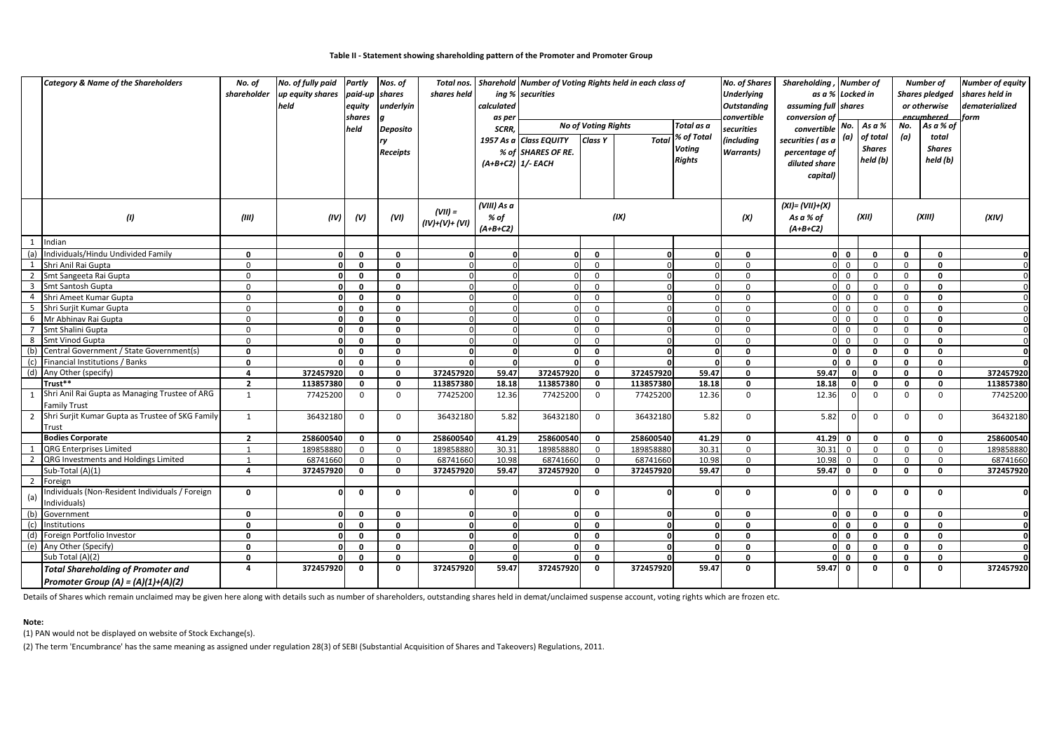#### **Table II - Statement showing shareholding pattern of the Promoter and Promoter Group**

| Shares<br><b>Voting</b>                                                                                                                                                                                                                             | held (b)                    |
|-----------------------------------------------------------------------------------------------------------------------------------------------------------------------------------------------------------------------------------------------------|-----------------------------|
| % of SHARES OF RE.<br><b>Warrants</b> )<br><b>Receipts</b><br>percentage of<br><b>Rights</b><br>held (b)<br>$(A+B+C2)$ 1/- EACH<br>diluted share<br>capital)                                                                                        |                             |
| (VIII) As a<br>$(XI) = (VII)+(X)$<br>$(VII) =$<br>(IX)<br>(1)<br>(XII)<br>(III)<br>(IV)<br>(V)<br>(VI)<br>As a % of<br>(X)<br>% of<br>$(IV)+(V)+(VI)$<br>$(A+B+C2)$<br>$(A+B+C2)$                                                                   | (XIII)<br>(XIV)             |
| $\mathbf{1}$<br>Indian                                                                                                                                                                                                                              |                             |
| Individuals/Hindu Undivided Family<br>(a)<br>$\mathbf 0$<br>$\mathbf{0}$<br>$\mathbf{0}$<br>$\mathbf 0$<br>$\mathbf 0$<br>$\mathbf 0$<br>$\Omega$<br>$\mathbf{0}$<br>$\Omega$<br>n<br>$\Omega$<br>$\mathbf{0}$<br>$\Omega$<br>0                     | $\mathbf 0$                 |
| $\overline{0}$<br>Shri Anil Rai Gupta<br>$\mathbf{0}$<br>$\mathbf{0}$<br>$\Omega$<br>$\mathbf{0}$<br>$\mathbf 0$<br>1<br>$\Omega$<br>$\Omega$<br>$\Omega$<br>$\Omega$<br>$\Omega$<br>$\Omega$<br>$\Omega$<br>$\mathbf 0$                            | $\mathbf{0}$<br>$\Omega$    |
| $\overline{2}$<br>Smt Sangeeta Rai Gupta<br>$\mathbf 0$<br>$\mathbf 0$<br>$\Omega$<br>$\mathbf{0}$<br>$\mathbf{0}$<br>$\mathbf 0$<br>$\mathbf 0$<br>$\Omega$<br>$\mathbf{0}$<br>$\Omega$<br>$\Omega$<br>$\Omega$<br>$\overline{0}$                  | $\mathbf 0$                 |
| Smt Santosh Gupta<br>$\overline{0}$<br>$\overline{\mathbf{3}}$<br>$\mathbf{0}$<br>$\mathbf{0}$<br>$\Omega$<br>$\Omega$<br>$\mathbf 0$<br>$\Omega$<br>$\Omega$<br>$\mathbf 0$                                                                        | $\mathbf{0}$<br>$\Omega$    |
| Shri Ameet Kumar Gupta<br>$\mathbf 0$<br>$\overline{4}$<br>$\mathbf 0$<br>$\mathbf{0}$<br>O<br>$\Omega$<br>$\mathbf 0$<br>$\mathbf 0$<br>$\Omega$<br>$\Omega$                                                                                       | 0                           |
| 5 Shri Surjit Kumar Gupta<br>$\mathbf 0$<br>$\mathbf 0$<br>$\mathbf 0$<br>$\mathbf{0}$<br>$\Omega$<br>$\mathbf{0}$<br>$\mathbf 0$<br>$\mathbf 0$<br>$\mathbf 0$<br>$\Omega$<br>$\Omega$<br>$\Omega$<br>$\Omega$<br>n                                | $\mathbf 0$<br>$\Omega$     |
| Mr Abhinav Rai Gupta<br>$\mathsf 0$<br>$\mathbf 0$<br>$\mathbf{0}$<br>$\mathbf 0$<br>$\mathbf 0$<br>6<br>$\Omega$<br>$\mathbf 0$<br>$\mathbf 0$<br>$\Omega$<br>$\Omega$<br>$\Omega$<br>$\Omega$<br>$\mathbf{0}$<br>n                                | $\mathbf 0$<br>$\Omega$     |
| 7 Smt Shalini Gupta<br>$\mathbf 0$<br>$\mathbf{0}$<br>$\mathbf{0}$<br>$\mathbf 0$<br>$\mathbf{0}$<br>$\Omega$<br>$\Omega$<br>$\overline{0}$<br>$\mathbf 0$<br>$\mathbf 0$<br>$\Omega$<br>$\Omega$<br>$\Omega$<br>U                                  | $\mathbf 0$<br>$\Omega$     |
| Smt Vinod Gupta<br>$\mathbf 0$<br>8<br>$\mathbf 0$<br>$\mathbf{0}$<br>$\Omega$<br>$\mathbf 0$<br>$\mathbf 0$<br>$\overline{0}$<br>$\mathbf 0$<br>$\mathbf 0$<br>n<br>$\Omega$<br>$\Omega$<br>$\Omega$<br>$\Omega$                                   | $\mathbf 0$<br>$\Omega$     |
| Central Government / State Government(s)<br>(b)<br>$\mathbf 0$<br>$\mathbf{o}$<br>$\mathbf 0$<br>O<br>$\mathbf 0$<br>$\mathbf{0}$<br><sup>0</sup><br>$\Omega$<br>$\mathbf{0}$<br>$\Omega$<br>$\mathbf{0}$<br>$\Omega$<br>$\mathbf 0$<br>$\mathbf 0$ | $\mathbf 0$<br>$\mathbf{o}$ |
| (c)<br>Financial Institutions / Banks<br>$\mathbf 0$<br>$\mathbf{0}$<br>$\mathbf{0}$<br>$\mathbf{0}$<br>0<br>$\Omega$<br>$\mathbf{0}$<br>$\mathbf{0}$<br>$\mathbf 0$<br>$\mathbf{0}$<br>n<br>n                                                      | 0                           |
| 372457920<br>59.47<br>59.47<br>(d) Any Other (specify)<br>$\overline{a}$<br>372457920<br>$\mathbf 0$<br>372457920<br>$\mathbf 0$<br>372457920<br>59.47<br>$\mathbf{0}$<br>$\mathbf{0}$<br>$\Omega$<br>$\Omega$<br>0                                 | $\mathbf 0$<br>372457920    |
| Trust**<br>$\overline{2}$<br>113857380<br>18.18<br>113857380<br>$\mathbf 0$<br>113857380<br>18.18<br>18.18<br>113857380<br>$\mathbf 0$<br>$\mathbf 0$<br>0<br>$\mathbf 0$<br>$\mathbf 0$<br>$\mathbf{0}$                                            | $\mathbf 0$<br>113857380    |
| Shri Anil Rai Gupta as Managing Trustee of ARG<br>1<br>77425200<br>$\mathbf{0}$<br>$\mathbf 0$<br>77425200<br>12.36<br>77425200<br>77425200<br>12.36<br>$\mathbf 0$<br>12.36<br>$\mathbf 0$<br>$\Omega$<br>$\mathbf 0$<br>$\mathbf 0$               | $\mathbf 0$<br>77425200     |
| Family Trust<br>Shri Surjit Kumar Gupta as Trustee of SKG Family<br>5.82<br>5.82<br>5.82<br>1<br>36432180<br>$\Omega$<br>$\Omega$<br>36432180<br>36432180<br>$\mathbf 0$<br>36432180<br>$\Omega$<br>$\Omega$<br>2<br>$\Omega$<br>$\Omega$           | 36432180<br>$\Omega$        |
| Trust                                                                                                                                                                                                                                               |                             |
| <b>Bodies Corporate</b><br>$\overline{2}$<br>258600540<br>258600540<br>258600540<br>41.29<br>41.29<br>$\mathbf{0}$<br>$\mathbf{0}$<br>258600540<br>41.29<br>$\mathbf 0$<br>$\mathbf{0}$<br>$\mathbf 0$<br>$\mathbf 0$<br>$\mathbf{0}$               | $\mathbf{0}$<br>258600540   |
| QRG Enterprises Limited<br>189858880<br>189858880<br>30.31<br>189858880<br>189858880<br>30.31<br>30.31<br>1<br>1<br>$\Omega$<br>$\mathbf 0$<br>$\mathbf 0$<br>$\overline{0}$<br>$\Omega$<br>$\mathbf 0$<br>$\mathbf 0$                              | 189858880<br>$\mathbf 0$    |
| 2 QRG Investments and Holdings Limited<br>10.98<br>10.98<br>68741660<br>$\Omega$<br>$\Omega$<br>68741660<br>68741660<br>$\mathbf 0$<br>68741660<br>10.98<br>$\Omega$<br>$\mathbf 0$<br>$\Omega$<br>$\Omega$<br>$\overline{1}$                       | $\mathbf 0$<br>68741660     |
| Sub-Total (A)(1)<br>372457920<br>59.47<br>$\overline{4}$<br>372457920<br>$\mathbf 0$<br>$\mathbf{0}$<br>372457920<br>$\mathbf 0$<br>372457920<br>59.47<br>$\mathbf{0}$<br>59.47<br>$\mathbf 0$<br>$\mathbf{0}$<br>$\mathbf{0}$                      | $\mathbf{0}$<br>372457920   |
| $\overline{2}$<br>Foreign                                                                                                                                                                                                                           |                             |
| Individuals (Non-Resident Individuals / Foreign<br>$\mathbf 0$<br>$\mathbf 0$<br>$\mathbf{0}$<br>$\Omega$<br>$\mathbf 0$<br>$\Omega$<br>O<br>$\mathbf 0$<br>$\mathbf{0}$<br>$\mathbf{0}$<br>n<br>(a)<br>ndividuals)                                 | $\mathbf{0}$<br>$\mathbf 0$ |
| (b)<br>Government<br>$\mathbf 0$<br>$\mathbf{0}$<br>$\mathbf{0}$<br>$\Omega$<br>$\mathbf 0$<br>$\Omega$<br>$\mathbf{0}$<br>$\mathbf{0}$<br>$\mathbf{0}$<br>n<br>$\Omega$<br>n                                                                       | $\mathbf{0}$                |
| $\mathbf 0$<br>Institutions<br>$\mathbf{0}$<br>$\mathbf{0}$<br>$\Omega$<br>$\mathbf{0}$<br>0<br>$\mathbf 0$<br>$\mathbf 0$<br>(c)<br>$\Omega$<br>$\Omega$<br>$\Omega$<br>$\Omega$<br>$\Omega$<br>$\mathbf 0$                                        | $\mathbf 0$<br>$\mathbf{0}$ |
| (d) Foreign Portfolio Investor<br>$\mathbf{0}$<br>$\mathbf{0}$<br>$\mathbf{0}$<br>$\Omega$<br>$\mathbf 0$<br>$\mathbf{0}$<br>$\Omega$<br>$\Omega$<br>$\mathbf{0}$<br>0<br>$\mathbf 0$<br>$\mathbf{0}$<br>$\Omega$<br>$\Omega$                       | $\mathbf 0$                 |
| (e) Any Other (Specify)<br>$\mathbf 0$<br>$\mathbf{0}$<br>$\mathbf{0}$<br>$\Omega$<br>$\Omega$<br>$\Omega$<br>$\mathbf{0}$<br>$\mathbf 0$<br>$\mathbf 0$<br>$\mathbf{0}$<br>$\Omega$<br>$\Omega$<br>$\Omega$<br>$\Omega$                            | $\mathbf{0}$<br>$\Omega$    |
| Sub Total (A)(2)<br>$\Omega$<br>$\mathbf 0$<br>$\mathbf 0$<br>$\sqrt{2}$<br>$\mathbf 0$<br>$\mathbf 0$<br>$\mathbf 0$<br>0<br>n<br>0<br>n<br>$\Omega$<br>$\Omega$<br>$\Omega$                                                                       | 0                           |
| 372457920<br>372457920<br>59.47<br>372457920<br>372457920<br>59.47<br>$\overline{4}$<br>$\mathbf 0$<br>$\mathbf{0}$<br>$\mathbf 0$<br>59.47<br>0<br>$\mathbf{0}$<br><b>Total Shareholding of Promoter and</b><br>0<br>0                             | 372457920<br>0              |
| Promoter Group (A) = $(A)(1)+(A)(2)$                                                                                                                                                                                                                |                             |

Details of Shares which remain unclaimed may be given here along with details such as number of shareholders, outstanding shares held in demat/unclaimed suspense account, voting rights which are frozen etc.

#### **Note:**

(1) PAN would not be displayed on website of Stock Exchange(s).

(2) The term 'Encumbrance' has the same meaning as assigned under regulation 28(3) of SEBI (Substantial Acquisition of Shares and Takeovers) Regulations, 2011.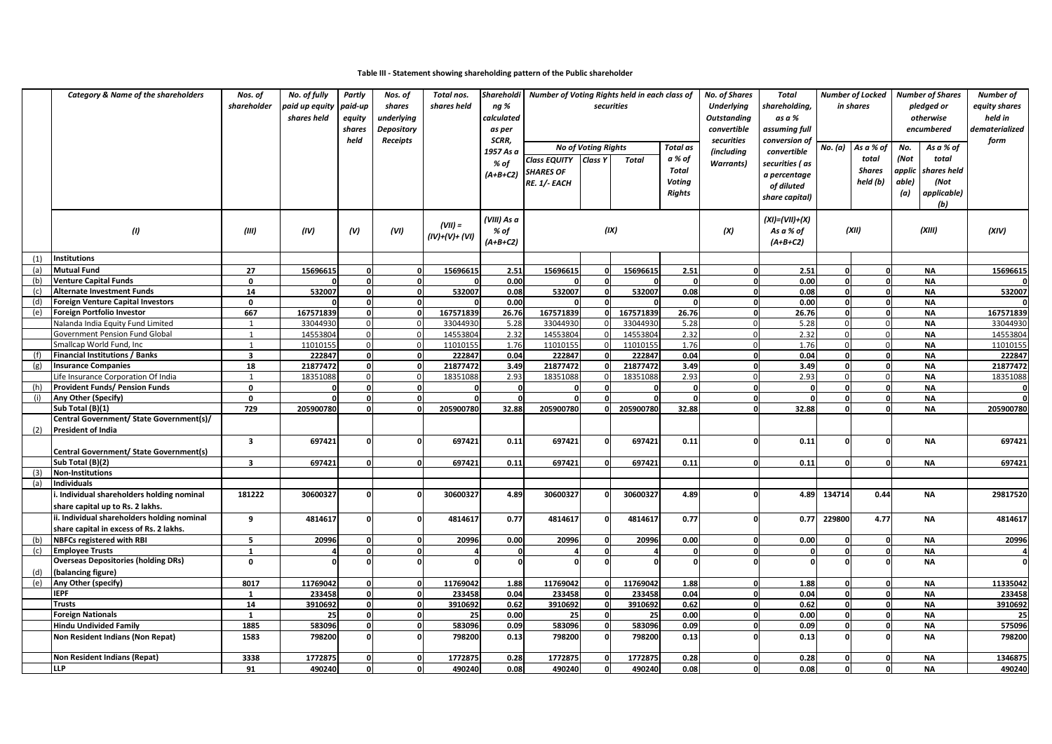### **Table III - Statement showing shareholding pattern of the Public shareholder**

|            | <b>Category &amp; Name of the shareholders</b>                         | Nos. of                 | No. of fully   | Partly   | Nos. of           | Total nos.     | Shareholdi       | Number of Voting Rights held in each class of |                            |              |                  | No. of Shares            | Total          |                    | <b>Number of Locked</b>  |        | <b>Number of Shares</b> | Number of      |
|------------|------------------------------------------------------------------------|-------------------------|----------------|----------|-------------------|----------------|------------------|-----------------------------------------------|----------------------------|--------------|------------------|--------------------------|----------------|--------------------|--------------------------|--------|-------------------------|----------------|
|            |                                                                        | shareholder             | paid up equity | paid-up  | shares            | shares held    | ng %             |                                               |                            | securities   |                  | <b>Underlying</b>        | hareholding,   |                    | in shares                |        | pledged or              | equity shares  |
|            |                                                                        |                         | shares held    | equity   | underlying        |                | calculated       |                                               |                            |              |                  | <b>Outstanding</b>       | as a %         |                    |                          |        | otherwise               | held in        |
|            |                                                                        |                         |                | shares   | Depository        |                | as per           |                                               |                            |              |                  | convertible              | assuming full  |                    |                          |        | encumbered              | dematerialized |
|            |                                                                        |                         |                | held     | Receipts          |                | SCRR,            |                                               |                            |              |                  | securities               | conversion of  |                    |                          |        |                         | form           |
|            |                                                                        |                         |                |          |                   |                | 1957 As a        |                                               | <b>No of Voting Rights</b> |              | Total as         | <i>(including</i>        | convertible    | No. (a)            | As a % of                | No.    | As a % of               |                |
|            |                                                                        |                         |                |          |                   |                | % of             | <b>Class EQUITY</b>                           | Class Y                    | <b>Total</b> | a % of           | <b>Warrants</b> )        | securities (as |                    | total                    | (Not   | total                   |                |
|            |                                                                        |                         |                |          |                   |                | $(A+B+C2)$       | <b>SHARES OF</b>                              |                            |              | <b>Total</b>     |                          | a percentage   |                    | <b>Shares</b>            | applic | shares held             |                |
|            |                                                                        |                         |                |          |                   |                |                  | RE. 1/- EACH                                  |                            |              | <b>Voting</b>    |                          | of diluted     |                    | held (b)                 | able)  | (Not                    |                |
|            |                                                                        |                         |                |          |                   |                |                  |                                               |                            |              | Rights           |                          | share capital) |                    |                          | (a)    | applicable)             |                |
|            |                                                                        |                         |                |          |                   |                |                  |                                               |                            |              |                  |                          |                |                    |                          |        | (b)                     |                |
|            |                                                                        |                         |                |          |                   |                | (VIII) As a      |                                               |                            |              |                  |                          | (XI)=(VII)+(X) |                    |                          |        |                         |                |
|            | (1)                                                                    | (III)                   | (IV)           | (V)      | (VI)              | $(VII) =$      | % of             |                                               |                            | (IX)         |                  | (X)                      | As a % of      |                    | (XII)                    |        | (XIII)                  | (XIV)          |
|            |                                                                        |                         |                |          |                   | (IV)+(V)+ (VI) | $(A+B+C2)$       |                                               |                            |              |                  |                          | $(A+B+C2)$     |                    |                          |        |                         |                |
|            |                                                                        |                         |                |          |                   |                |                  |                                               |                            |              |                  |                          |                |                    |                          |        |                         |                |
| (1)        | Institutions                                                           |                         |                |          |                   |                |                  |                                               |                            |              |                  |                          |                |                    |                          |        |                         |                |
| (a)        | <b>Mutual Fund</b>                                                     | 27                      | 15696615       |          | $\mathbf{0}$      | 15696615       | 2.51             | 15696615                                      | 0                          | 15696615     | 2.51             | $\mathbf{o}$             | 2.51           | O                  | $\mathbf{0}$             |        | <b>NA</b>               | 15696615       |
| (b)        | <b>Venture Capital Funds</b>                                           | $\mathbf 0$             |                |          | $\mathbf{0}$      |                | 0.00             |                                               | $\Omega$                   |              | $\Omega$         | $\mathbf{o}$             | 0.00           | $\mathbf{0}$       | o                        |        | <b>NA</b>               |                |
| (c)<br>(d) | <b>Alternate Investment Funds</b>                                      | 14<br>$\mathbf 0$       | 532007         |          | 0<br>$\mathbf{0}$ | 532007         | 0.08             | 532007                                        | 0<br><sup>0</sup>          | 532007       | 0.08<br>$\Omega$ | $\mathbf 0$<br>$\Omega$  | 0.08           | $\mathbf{0}$<br>٥l | $\mathbf{0}$<br>$\Omega$ |        | <b>NA</b><br><b>NA</b>  | 532007         |
| (e)        | <b>Foreign Venture Capital Investors</b><br>Foreign Portfolio Investor | 667                     | 167571839      |          | $\mathbf{0}$      | 167571839      | 0.00             | 167571839                                     | $\mathbf{0}$               | 167571839    | 26.76            | $\mathbf{o}$             | 0.00<br>26.76  | $\mathbf{0}$       | $\mathbf{0}$             |        | <b>NA</b>               | 167571839      |
|            | Nalanda India Equity Fund Limited                                      | $\mathbf{1}$            | 33044930       |          | $\Omega$          | 33044930       | 26.76<br>5.28    | 33044930                                      |                            | 33044930     | 5.28             | $\Omega$                 | 5.28           | $\Omega$           | $\Omega$                 |        | <b>NA</b>               | 33044930       |
|            | Government Pension Fund Global                                         | 1                       | 14553804       |          | $\Omega$          | 14553804       | 2.32             | 14553804                                      |                            | 14553804     | 2.32             | $\Omega$                 | 2.32           | $\Omega$           | $\Omega$                 |        | <b>NA</b>               | 14553804       |
|            | Smallcap World Fund, Inc                                               | $\mathbf{1}$            | 11010155       | $\Omega$ | $\mathbf 0$       | 11010155       | 1.76             | 11010155                                      | $\Omega$                   | 11010155     | 1.76             | $\mathbf{0}$             | 1.76           | $\Omega$           | $\Omega$                 |        | <b>NA</b>               | 11010155       |
| (f)        | <b>Financial Institutions / Banks</b>                                  | $\overline{\mathbf{3}}$ | 222847         | $\Omega$ | $\mathbf{0}$      | 222847         | 0.04             | 222847                                        | $\Omega$                   | 222847       | 0.04             | $\mathbf{o}$             | 0.04           | O                  | o                        |        | <b>NA</b>               | 222847         |
| (g)        | <b>Insurance Companies</b>                                             | 18                      | 21877472       |          | $\mathbf{0}$      | 21877472       | 3.49             | 21877472                                      | O                          | 21877472     | 3.49             | $\Omega$                 | 3.49           | $\mathbf{0}$       | $\mathbf{0}$             |        | <b>NA</b>               | 21877472       |
|            | Life Insurance Corporation Of India                                    | $\mathbf{1}$            | 18351088       | $\Omega$ | $\Omega$          | 18351088       | 2.93             | 18351088                                      | $\Omega$                   | 18351088     | 2.93             | $\Omega$                 | 2.93           | $\Omega$           | $\mathbf 0$              |        | <b>NA</b>               | 18351088       |
| (h)        | <b>Provident Funds/ Pension Funds</b>                                  | $\mathbf 0$             | $\Omega$       |          | $\mathbf{0}$      |                | $\mathbf{0}$     | $\mathbf{0}$                                  | $\Omega$                   | $\Omega$     | $\mathbf 0$      | $\mathbf{o}$             | $\Omega$       | $\mathbf{0}$       | $\mathbf{0}$             |        | <b>NA</b>               | 0              |
| (i)        | Any Other (Specify)                                                    | $\mathbf 0$             | $\Omega$       |          | $\mathbf{0}$      |                | $\mathbf{0}$     | $\Omega$                                      | O                          | $\Omega$     | $\Omega$         | $\mathbf{o}$             | n              | $\Omega$           | $\mathbf{0}$             |        | <b>NA</b>               | $\mathbf{0}$   |
|            | Sub Total (B)(1)                                                       | 729                     | 205900780      |          | $\Omega$          | 205900780      | 32.88            | 205900780                                     | O                          | 205900780    | 32.88            | $\Omega$                 | 32.88          |                    |                          |        | <b>NA</b>               | 205900780      |
|            | Central Government/ State Government(s)/                               |                         |                |          |                   |                |                  |                                               |                            |              |                  |                          |                |                    |                          |        |                         |                |
| (2)        | <b>President of India</b>                                              |                         |                |          |                   |                |                  |                                               |                            |              |                  |                          |                |                    |                          |        |                         |                |
|            |                                                                        | $\overline{\mathbf{3}}$ | 697421         | $\Omega$ | $\Omega$          | 697421         | 0.11             | 697421                                        | $\Omega$                   | 697421       | 0.11             | $\mathbf{o}$             | 0.11           | $\mathbf{0}$       | $\Omega$                 |        | <b>NA</b>               | 697421         |
|            | Central Government/ State Government(s)                                |                         |                |          |                   |                |                  |                                               |                            |              |                  |                          |                |                    |                          |        |                         |                |
|            | Sub Total (B)(2)                                                       | $\overline{\mathbf{3}}$ | 697421         |          | $\Omega$          | 697421         | 0.11             | 697421                                        | $\Omega$                   | 697421       | 0.11             | $\Omega$                 | 0.11           | $\mathbf{0}$       | o                        |        | <b>NA</b>               | 697421         |
| (3)        | <b>Non-Institutions</b>                                                |                         |                |          |                   |                |                  |                                               |                            |              |                  |                          |                |                    |                          |        |                         |                |
| (a)        | <b>Individuals</b>                                                     |                         |                |          |                   |                |                  |                                               |                            |              |                  |                          |                |                    |                          |        |                         |                |
|            | . Individual shareholders holding nominal                              | 181222                  | 30600327       |          | $\Omega$          | 30600327       | 4.89             | 30600327                                      |                            | 30600327     | 4.89             | $\Omega$                 | 4.89           | 134714             | 0.44                     |        | <b>NA</b>               | 29817520       |
|            | share capital up to Rs. 2 lakhs.                                       |                         |                |          |                   |                |                  |                                               |                            |              |                  |                          |                |                    |                          |        |                         |                |
|            | ii. Individual shareholders holding nominal                            | 9                       | 4814617        |          | 0                 | 4814617        | 0.77             | 4814617                                       | $\Omega$                   | 4814617      | 0.77             | $\Omega$                 | 0.77           | 229800             | 4.77                     |        | <b>NA</b>               | 4814617        |
|            | share capital in excess of Rs. 2 lakhs.                                |                         |                |          |                   |                |                  |                                               |                            |              |                  |                          |                |                    |                          |        |                         |                |
| (b)        | <b>NBFCs registered with RBI</b>                                       | 5                       | 20996          |          | $\mathbf 0$       | 20996          | 0.00             | 20996                                         | $\Omega$                   | 20996        | 0.00             | $\mathbf{o}$             | 0.00           | $\mathbf{0}$       | $\mathbf{0}$             |        | <b>NA</b>               | 20996          |
| (c)        | <b>Employee Trusts</b><br><b>Overseas Depositories (holding DRs)</b>   | $\mathbf{1}$            | 4<br>O         |          | 0<br>$\mathbf{0}$ |                | 0<br>$\mathbf 0$ | 4                                             | $\Omega$<br>O              |              | $\mathbf 0$      | $\mathbf{o}$<br>$\Omega$ |                | $\mathbf{0}$       | $\mathbf{0}$<br>$\Omega$ |        | <b>NA</b>               | 4              |
| (d)        | (balancing figure)                                                     | 0                       |                |          |                   |                |                  |                                               |                            |              |                  |                          |                |                    |                          |        | <b>NA</b>               | $\mathbf 0$    |
| (e)        | Any Other (specify)                                                    | 8017                    | 11769042       |          | $\mathbf{0}$      | 11769042       | 1.88             | 11769042                                      | 0                          | 11769042     | 1.88             | $\Omega$                 | 1.88           | $\Omega$           | o                        |        | <b>NA</b>               | 11335042       |
|            | <b>IEPF</b>                                                            | $\mathbf{1}$            | 233458         |          | $\mathbf{0}$      | 233458         | 0.04             | 233458                                        | $\Omega$                   | 233458       | 0.04             | $\mathbf{o}$             | 0.04           | $\Omega$           | $\mathbf{0}$             |        | <b>NA</b>               | 233458         |
|            | <b>Trusts</b>                                                          | 14                      | 3910692        | $\Omega$ | $\mathbf{0}$      | 3910692        | 0.62             | 3910692                                       | <sub>0</sub>               | 3910692      | 0.62             | $\Omega$                 | 0.62           | $\Omega$           | $\mathbf{0}$             |        | <b>NA</b>               | 3910692        |
|            | <b>Foreign Nationals</b>                                               | $\mathbf{1}$            | 25             |          | $\mathbf{0}$      | 25             | 0.00             | 25                                            | $\Omega$                   | 25           | 0.00             | $\mathbf{o}$             | 0.00           | $\mathbf{0}$       | $\mathbf{0}$             |        | <b>NA</b>               | 25             |
|            | <b>Hindu Undivided Family</b>                                          | 1885                    | 583096         |          | $\mathbf{0}$      | 583096         | 0.09             | 583096                                        | $\Omega$                   | 583096       | 0.09             | $\Omega$                 | 0.09           | $\mathbf{0}$       | $\Omega$                 |        | <b>NA</b>               | 575096         |
|            | Non Resident Indians (Non Repat)                                       | 1583                    | 798200         |          | $\mathbf{0}$      | 798200         | 0.13             | 798200                                        | $\Omega$                   | 798200       | 0.13             | $\Omega$                 | 0.13           | $\Omega$           | $\Omega$                 |        | <b>NA</b>               | 798200         |
|            |                                                                        |                         |                |          |                   |                |                  |                                               |                            |              |                  |                          |                |                    |                          |        |                         |                |
|            | Non Resident Indians (Repat)                                           | 3338                    | 1772875        |          | $\mathbf{0}$      | 1772875        | 0.28             | 1772875                                       | $\Omega$                   | 1772875      | 0.28             | $\Omega$                 | 0.28           | $\Omega$           | 0                        |        | <b>NA</b>               | 1346875        |
|            | <b>LLP</b>                                                             | 91                      | 490240         |          | $\mathbf{0}$      | 490240         | 0.08             | 490240                                        | $\mathbf{0}$               | 490240       | 0.08             | $\mathbf 0$              | 0.08           | 0                  | 0                        |        | <b>NA</b>               | 490240         |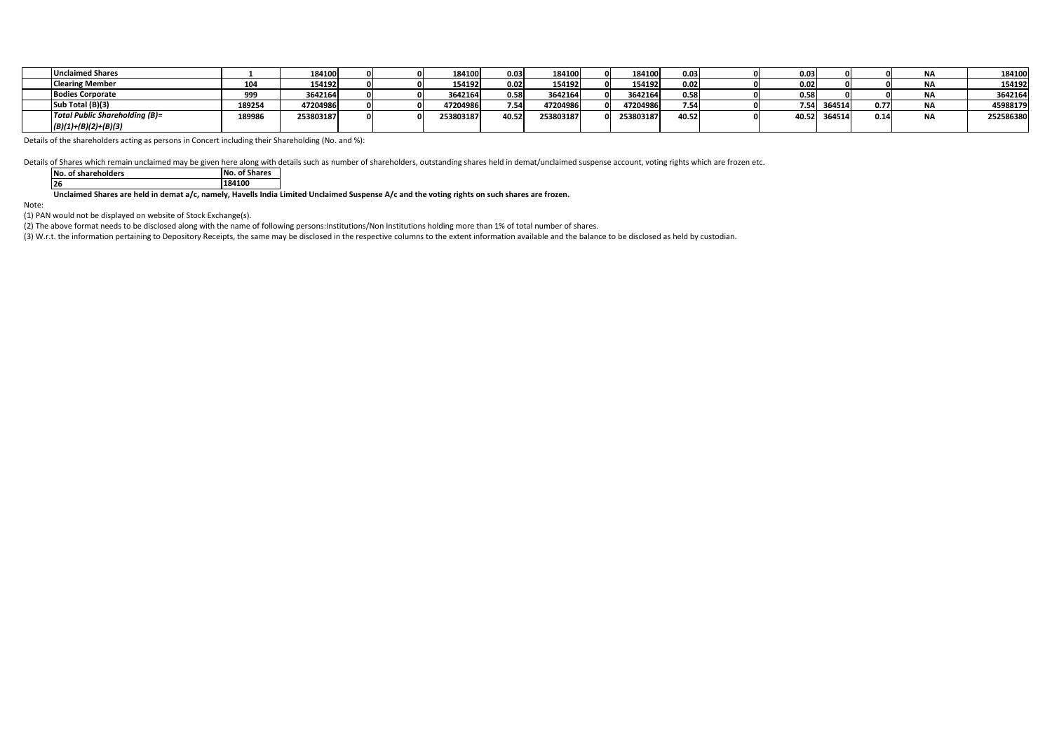| <b>Unclaimed Shares</b>        |        | 184100    |  | 184100    | 0.03 <sub>1</sub> | 184100    | 184100    | 0.03  | 0.03  |        |      | <b>NA</b> | 184100    |
|--------------------------------|--------|-----------|--|-----------|-------------------|-----------|-----------|-------|-------|--------|------|-----------|-----------|
| <b>Clearing Member</b>         | 104    | 154192    |  | 154192    | 0.02              | 154192    | 154192    | 0.02  | 0.02  |        |      | <b>NA</b> | 154192    |
| <b>Bodies Corporate</b>        | 999    | 3642164   |  | 3642164   | 0.58              | 3642164   | 3642164   | 0.58  | 0.58  |        |      | <b>NA</b> | 3642164   |
| Sub Total (B)(3)               | 189254 | 47204986  |  | 47204986  | 7.54              | 47204986  | 47204986  | 7.54  | 7.54  | 364514 | 0.77 | <b>NA</b> | 45988179  |
| Total Public Shareholding (B)= | 189986 | 253803187 |  | 253803187 | 40.52             | 253803187 | 253803187 | 40.52 | 40.52 | 364514 | 0.14 | <b>NA</b> | 252586380 |
| $(B)(1)+(B)(2)+(B)(3)$         |        |           |  |           |                   |           |           |       |       |        |      |           |           |

Details of the shareholders acting as persons in Concert including their Shareholding (No. and %):

Details of Shares which remain unclaimed may be given here along with details such as number of shareholders, outstanding shares held in demat/unclaimed suspense account, voting rights which are frozen etc.

| <b>No. of shareholders</b> | <b>No. of Shares</b> |
|----------------------------|----------------------|
| 26                         | 184100               |

**Unclaimed Shares are held in demat a/c, namely, Havells India Limited Unclaimed Suspense A/c and the voting rights on such shares are frozen.**

Note:

(1) PAN would not be displayed on website of Stock Exchange(s).

(2) The above format needs to be disclosed along with the name of following persons:Institutions/Non Institutions holding more than 1% of total number of shares.

(3) W.r.t. the information pertaining to Depository Receipts, the same may be disclosed in the respective columns to the extent information available and the balance to be disclosed as held by custodian.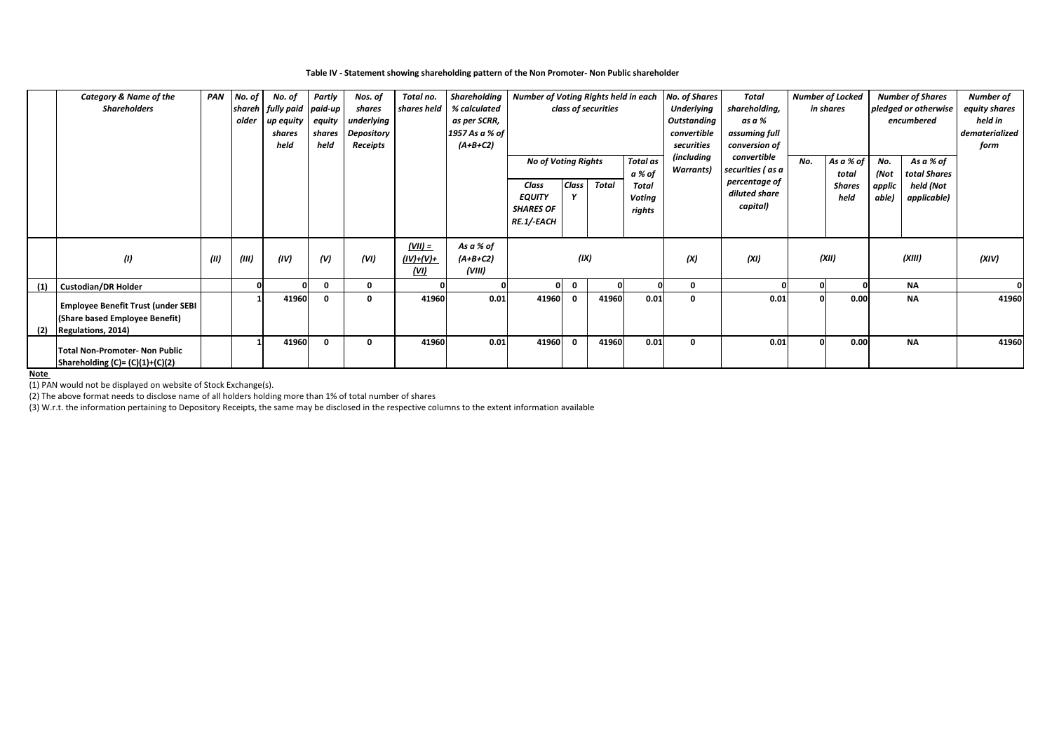#### **Table IV - Statement showing shareholding pattern of the Non Promoter- Non Public shareholder**

|     | <b>Category &amp; Name of the</b>         | PAN  | No. of | No. of                    | Partly   | Nos. of    | Total no.   | Shareholding   | Number of Voting Rights held in each |                                               |                     |                   | <b>No. of Shares</b> | Total             |              | <b>Number of Locked</b> |           | <b>Number of Shares</b> | <b>Number of</b> |
|-----|-------------------------------------------|------|--------|---------------------------|----------|------------|-------------|----------------|--------------------------------------|-----------------------------------------------|---------------------|-------------------|----------------------|-------------------|--------------|-------------------------|-----------|-------------------------|------------------|
|     | <b>Shareholders</b>                       |      |        | shareh fully paid paid-up |          | shares     | shares held | % calculated   |                                      |                                               | class of securities |                   | <b>Underlying</b>    | shareholding,     |              | in shares               |           | pledged or otherwise    | equity shares    |
|     |                                           |      | older  | up equity                 | equity   | underlying |             | as per SCRR,   |                                      |                                               |                     |                   | Outstanding          | as a %            |              |                         |           | encumbered              | held in          |
|     |                                           |      |        | shares                    | shares   | Depository |             | 1957 As a % of |                                      |                                               |                     |                   | convertible          | assuming full     |              |                         |           |                         | dematerialized   |
|     |                                           |      |        | held                      | held     | Receipts   |             | $(A+B+C2)$     |                                      |                                               |                     |                   | securities           | conversion of     |              |                         |           |                         | form             |
|     |                                           |      |        |                           |          |            |             |                |                                      | <b>Total as</b><br><b>No of Voting Rights</b> |                     | <i>(including</i> | convertible          | No.               | As a % of    | No.                     | As a % of |                         |                  |
|     |                                           |      |        |                           |          |            |             |                |                                      |                                               |                     | a % of            | Warrants)            | securities ( as a |              | total                   | (Not      | total Shares            |                  |
|     |                                           |      |        |                           |          |            |             |                | Class                                | <b>Class</b>                                  | Total               | Total             |                      | percentage of     |              | <b>Shares</b>           | applic    | held (Not               |                  |
|     |                                           |      |        |                           |          |            |             |                | <b>EQUITY</b>                        |                                               |                     | Voting            |                      | diluted share     |              | held                    | able)     | applicable)             |                  |
|     |                                           |      |        |                           |          |            |             |                | <b>SHARES OF</b>                     |                                               |                     | rights            |                      | capital)          |              |                         |           |                         |                  |
|     |                                           |      |        |                           |          |            |             |                | RE.1/-EACH                           |                                               |                     |                   |                      |                   |              |                         |           |                         |                  |
|     |                                           |      |        |                           |          |            |             |                |                                      |                                               |                     |                   |                      |                   |              |                         |           |                         |                  |
|     |                                           |      |        |                           |          |            | $(VII) =$   | As a % of      |                                      |                                               |                     |                   |                      |                   |              |                         |           |                         |                  |
|     | (1)                                       | (II) | (III)  | (IV)                      | (V)      | (VI)       | $(IV)+(V)+$ | $(A+B+C2)$     |                                      | (IX)                                          |                     |                   | (X)                  | (XI)              |              | (XII)                   |           | (XIII)                  | (XIV)            |
|     |                                           |      |        |                           |          |            | (UI)        | (VIII)         |                                      |                                               |                     |                   |                      |                   |              |                         |           |                         |                  |
| (1) | <b>Custodian/DR Holder</b>                |      |        |                           | $\Omega$ | $\Omega$   |             |                |                                      | $\mathbf{0}$                                  |                     |                   | 0                    |                   | $\mathbf{0}$ |                         |           | <b>NA</b>               |                  |
|     |                                           |      |        | 41960                     | $\Omega$ |            | 41960       | 0.01           | 41960                                | $\Omega$                                      | 41960               | 0.01              | 0                    | 0.01              | $\mathbf{0}$ | 0.00                    |           | <b>NA</b>               | 41960            |
|     | <b>Employee Benefit Trust (under SEBI</b> |      |        |                           |          |            |             |                |                                      |                                               |                     |                   |                      |                   |              |                         |           |                         |                  |
|     | (Share based Employee Benefit)            |      |        |                           |          |            |             |                |                                      |                                               |                     |                   |                      |                   |              |                         |           |                         |                  |
| (2) | Regulations, 2014)                        |      |        |                           |          |            |             |                |                                      |                                               |                     |                   |                      |                   |              |                         |           |                         |                  |
|     | <b>Total Non-Promoter- Non Public</b>     |      |        | 41960                     | $\Omega$ | 0          | 41960       | 0.01           | 41960                                | $\mathbf{0}$                                  | 41960               | 0.01              | $\mathbf 0$          | 0.01              | $\mathbf{0}$ | 0.00                    |           | <b>NA</b>               | 41960            |
|     |                                           |      |        |                           |          |            |             |                |                                      |                                               |                     |                   |                      |                   |              |                         |           |                         |                  |
|     | Shareholding $(C)=(C)(1)+(C)(2)$          |      |        |                           |          |            |             |                |                                      |                                               |                     |                   |                      |                   |              |                         |           |                         |                  |

## **Note**

(1) PAN would not be displayed on website of Stock Exchange(s).

(2) The above format needs to disclose name of all holders holding more than 1% of total number of shares

(3) W.r.t. the information pertaining to Depository Receipts, the same may be disclosed in the respective columns to the extent information available